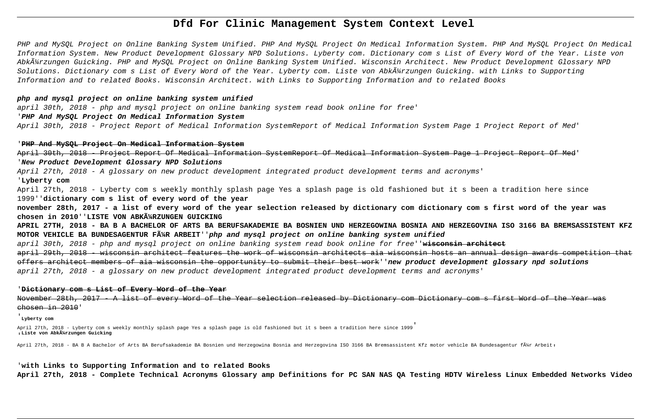# **Dfd For Clinic Management System Context Level**

PHP and MySQL Project on Online Banking System Unified. PHP And MySQL Project On Medical Information System. PHP And MySQL Project On Medical Information System. New Product Development Glossary NPD Solutions. Lyberty com. Dictionary com s List of Every Word of the Year. Liste von Abkĥrzungen Guicking. PHP and MySQL Project on Online Banking System Unified. Wisconsin Architect. New Product Development Glossary NPD Solutions. Dictionary com s List of Every Word of the Year. Lyberty com. Liste von Abkĥrzungen Guicking. with Links to Supporting Information and to related Books. Wisconsin Architect. with Links to Supporting Information and to related Books

#### **php and mysql project on online banking system unified**

april 30th, 2018 - php and mysql project on online banking system read book online for free'

## '**PHP And MySQL Project On Medical Information System**

April 30th, 2018 - Project Report of Medical Information SystemReport of Medical Information System Page 1 Project Report of Med'

#### '**PHP And MySQL Project On Medical Information System**

April 30th, 2018 - Project Report Of Medical Information SystemReport Of Medical Information System Page 1 Project Report Of Med' '**New Product Development Glossary NPD Solutions**

April 27th, 2018 - A glossary on new product development integrated product development terms and acronyms'

#### '**Lyberty com**

April 27th, 2018 - Lyberty com s weekly monthly splash page Yes a splash page is old fashioned but it s been a tradition here since 1999''**dictionary com s list of every word of the year**

**november 28th, 2017 - a list of every word of the year selection released by dictionary com dictionary com s first word of the year was** chosen in 2010''LISTE VON ABKÄ<sup>1</sup>/RZUNGEN GUICKING

**APRIL 27TH, 2018 - BA B A BACHELOR OF ARTS BA BERUFSAKADEMIE BA BOSNIEN UND HERZEGOWINA BOSNIA AND HERZEGOVINA ISO 3166 BA BREMSASSISTENT KFZ MOTOR VEHICLE BA BUNDESAGENTUR FüR ARBEIT**''**php and mysql project on online banking system unified**

april 30th, 2018 - php and mysql project on online banking system read book online for free''**wisconsin architect**

april 29th, 2018 - wisconsin architect features the work of wisconsin architects aia wisconsin hosts an annual design awards competition that offers architect members of aia wisconsin the opportunity to submit their best work''**new product development glossary npd solutions** april 27th, 2018 - a glossary on new product development integrated product development terms and acronyms'

#### '**Dictionary com s List of Every Word of the Year**

November 28th, 2017 - A list of every Word of the Year selection released by Dictionary com Dictionary com s first Word of the Year was chosen in 2010'

# '**Lyberty com**

April 27th, 2018 - Lyberty com s weekly monthly splash page Yes a splash page is old fashioned but it s been a tradition here since 1999' '**Liste von Abkürzungen Guicking**

April 27th, 2018 - BA B A Bachelor of Arts BA Berufsakademie BA Bosnien und Herzegowina Bosnia and Herzegovina ISO 3166 BA Bremsassistent Kfz motor vehicle BA Bundesagentur für Arbeit,

### '**with Links to Supporting Information and to related Books**

**April 27th, 2018 - Complete Technical Acronyms Glossary amp Definitions for PC SAN NAS QA Testing HDTV Wireless Linux Embedded Networks Video**